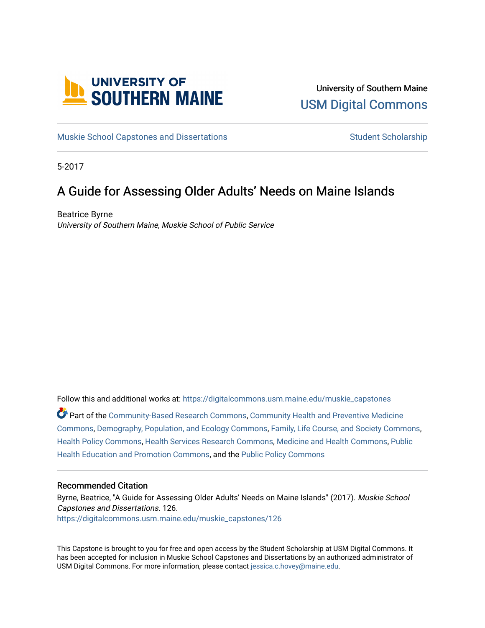

## University of Southern Maine [USM Digital Commons](https://digitalcommons.usm.maine.edu/)

[Muskie School Capstones and Dissertations](https://digitalcommons.usm.maine.edu/muskie_capstones) [Student Scholarship](https://digitalcommons.usm.maine.edu/students) Student Scholarship

5-2017

# A Guide for Assessing Older Adults' Needs on Maine Islands

Beatrice Byrne University of Southern Maine, Muskie School of Public Service

Follow this and additional works at: [https://digitalcommons.usm.maine.edu/muskie\\_capstones](https://digitalcommons.usm.maine.edu/muskie_capstones?utm_source=digitalcommons.usm.maine.edu%2Fmuskie_capstones%2F126&utm_medium=PDF&utm_campaign=PDFCoverPages)  Part of the [Community-Based Research Commons](http://network.bepress.com/hgg/discipline/1047?utm_source=digitalcommons.usm.maine.edu%2Fmuskie_capstones%2F126&utm_medium=PDF&utm_campaign=PDFCoverPages), [Community Health and Preventive Medicine](http://network.bepress.com/hgg/discipline/744?utm_source=digitalcommons.usm.maine.edu%2Fmuskie_capstones%2F126&utm_medium=PDF&utm_campaign=PDFCoverPages) [Commons](http://network.bepress.com/hgg/discipline/744?utm_source=digitalcommons.usm.maine.edu%2Fmuskie_capstones%2F126&utm_medium=PDF&utm_campaign=PDFCoverPages), [Demography, Population, and Ecology Commons,](http://network.bepress.com/hgg/discipline/418?utm_source=digitalcommons.usm.maine.edu%2Fmuskie_capstones%2F126&utm_medium=PDF&utm_campaign=PDFCoverPages) [Family, Life Course, and Society Commons,](http://network.bepress.com/hgg/discipline/419?utm_source=digitalcommons.usm.maine.edu%2Fmuskie_capstones%2F126&utm_medium=PDF&utm_campaign=PDFCoverPages) [Health Policy Commons,](http://network.bepress.com/hgg/discipline/395?utm_source=digitalcommons.usm.maine.edu%2Fmuskie_capstones%2F126&utm_medium=PDF&utm_campaign=PDFCoverPages) [Health Services Research Commons,](http://network.bepress.com/hgg/discipline/816?utm_source=digitalcommons.usm.maine.edu%2Fmuskie_capstones%2F126&utm_medium=PDF&utm_campaign=PDFCoverPages) [Medicine and Health Commons](http://network.bepress.com/hgg/discipline/422?utm_source=digitalcommons.usm.maine.edu%2Fmuskie_capstones%2F126&utm_medium=PDF&utm_campaign=PDFCoverPages), [Public](http://network.bepress.com/hgg/discipline/743?utm_source=digitalcommons.usm.maine.edu%2Fmuskie_capstones%2F126&utm_medium=PDF&utm_campaign=PDFCoverPages) [Health Education and Promotion Commons,](http://network.bepress.com/hgg/discipline/743?utm_source=digitalcommons.usm.maine.edu%2Fmuskie_capstones%2F126&utm_medium=PDF&utm_campaign=PDFCoverPages) and the [Public Policy Commons](http://network.bepress.com/hgg/discipline/400?utm_source=digitalcommons.usm.maine.edu%2Fmuskie_capstones%2F126&utm_medium=PDF&utm_campaign=PDFCoverPages)

#### Recommended Citation

Byrne, Beatrice, "A Guide for Assessing Older Adults' Needs on Maine Islands" (2017). Muskie School Capstones and Dissertations. 126. [https://digitalcommons.usm.maine.edu/muskie\\_capstones/126](https://digitalcommons.usm.maine.edu/muskie_capstones/126?utm_source=digitalcommons.usm.maine.edu%2Fmuskie_capstones%2F126&utm_medium=PDF&utm_campaign=PDFCoverPages) 

This Capstone is brought to you for free and open access by the Student Scholarship at USM Digital Commons. It has been accepted for inclusion in Muskie School Capstones and Dissertations by an authorized administrator of USM Digital Commons. For more information, please contact [jessica.c.hovey@maine.edu](mailto:ian.fowler@maine.edu).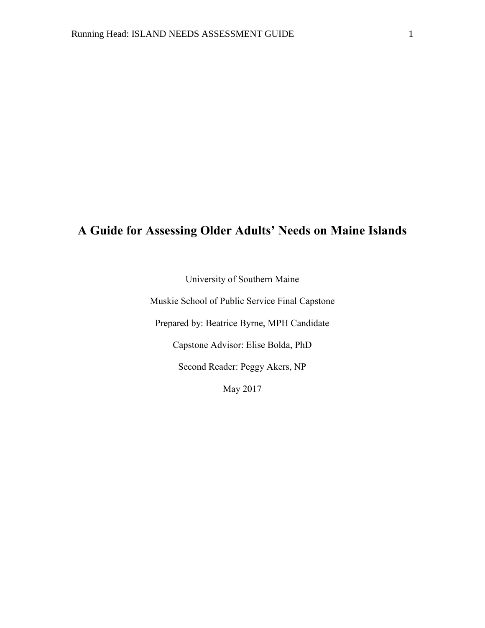# **A Guide for Assessing Older Adults' Needs on Maine Islands**

University of Southern Maine

Muskie School of Public Service Final Capstone

Prepared by: Beatrice Byrne, MPH Candidate

Capstone Advisor: Elise Bolda, PhD

Second Reader: Peggy Akers, NP

May 2017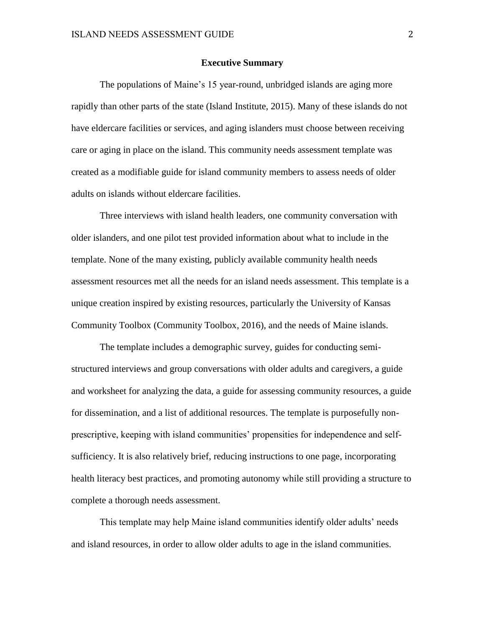#### **Executive Summary**

The populations of Maine's 15 year-round, unbridged islands are aging more rapidly than other parts of the state (Island Institute, 2015). Many of these islands do not have eldercare facilities or services, and aging islanders must choose between receiving care or aging in place on the island. This community needs assessment template was created as a modifiable guide for island community members to assess needs of older adults on islands without eldercare facilities.

Three interviews with island health leaders, one community conversation with older islanders, and one pilot test provided information about what to include in the template. None of the many existing, publicly available community health needs assessment resources met all the needs for an island needs assessment. This template is a unique creation inspired by existing resources, particularly the University of Kansas Community Toolbox (Community Toolbox, 2016), and the needs of Maine islands.

The template includes a demographic survey, guides for conducting semistructured interviews and group conversations with older adults and caregivers, a guide and worksheet for analyzing the data, a guide for assessing community resources, a guide for dissemination, and a list of additional resources. The template is purposefully nonprescriptive, keeping with island communities' propensities for independence and selfsufficiency. It is also relatively brief, reducing instructions to one page, incorporating health literacy best practices, and promoting autonomy while still providing a structure to complete a thorough needs assessment.

This template may help Maine island communities identify older adults' needs and island resources, in order to allow older adults to age in the island communities.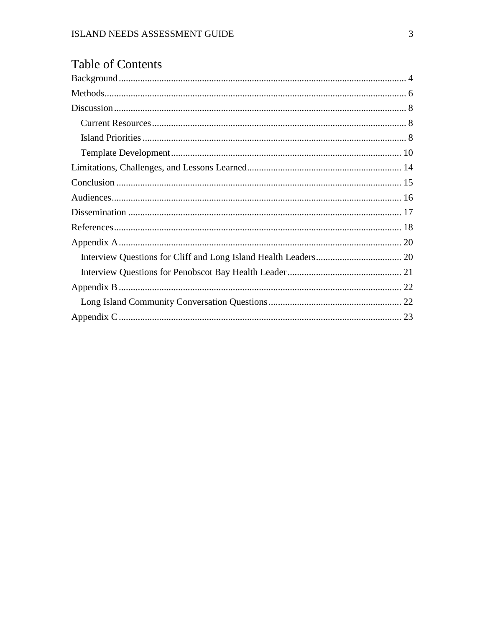|  | <b>Table of Contents</b> |  |
|--|--------------------------|--|
|  |                          |  |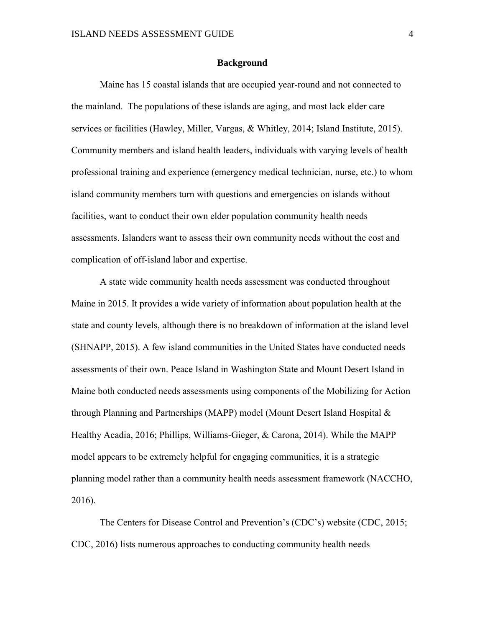#### **Background**

<span id="page-4-0"></span>Maine has 15 coastal islands that are occupied year-round and not connected to the mainland. The populations of these islands are aging, and most lack elder care services or facilities (Hawley, Miller, Vargas, & Whitley, 2014; Island Institute, 2015). Community members and island health leaders, individuals with varying levels of health professional training and experience (emergency medical technician, nurse, etc.) to whom island community members turn with questions and emergencies on islands without facilities, want to conduct their own elder population community health needs assessments. Islanders want to assess their own community needs without the cost and complication of off-island labor and expertise.

A state wide community health needs assessment was conducted throughout Maine in 2015. It provides a wide variety of information about population health at the state and county levels, although there is no breakdown of information at the island level (SHNAPP, 2015). A few island communities in the United States have conducted needs assessments of their own. Peace Island in Washington State and Mount Desert Island in Maine both conducted needs assessments using components of the Mobilizing for Action through Planning and Partnerships (MAPP) model (Mount Desert Island Hospital & Healthy Acadia, 2016; Phillips, Williams-Gieger, & Carona, 2014). While the MAPP model appears to be extremely helpful for engaging communities, it is a strategic planning model rather than a community health needs assessment framework (NACCHO, 2016).

The Centers for Disease Control and Prevention's (CDC's) website (CDC, 2015; CDC, 2016) lists numerous approaches to conducting community health needs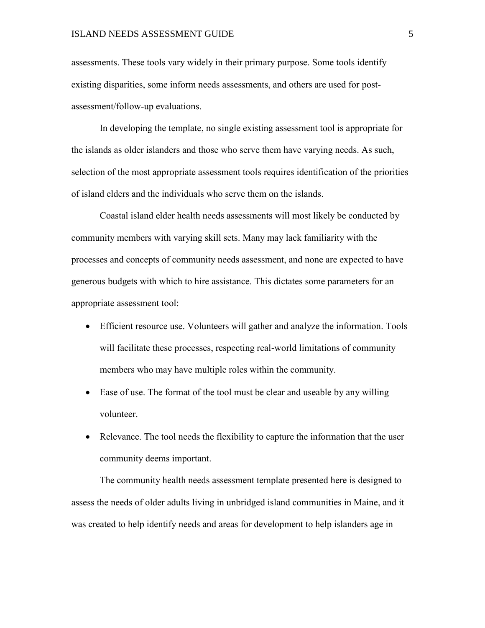#### **ISLAND NEEDS ASSESSMENT GUIDE** 5

assessments. These tools vary widely in their primary purpose. Some tools identify existing disparities, some inform needs assessments, and others are used for postassessment/follow-up evaluations.

In developing the template, no single existing assessment tool is appropriate for the islands as older islanders and those who serve them have varying needs. As such, selection of the most appropriate assessment tools requires identification of the priorities of island elders and the individuals who serve them on the islands.

Coastal island elder health needs assessments will most likely be conducted by community members with varying skill sets. Many may lack familiarity with the processes and concepts of community needs assessment, and none are expected to have generous budgets with which to hire assistance. This dictates some parameters for an appropriate assessment tool:

- Efficient resource use. Volunteers will gather and analyze the information. Tools will facilitate these processes, respecting real-world limitations of community members who may have multiple roles within the community.
- Ease of use. The format of the tool must be clear and useable by any willing volunteer.
- Relevance. The tool needs the flexibility to capture the information that the user community deems important.

The community health needs assessment template presented here is designed to assess the needs of older adults living in unbridged island communities in Maine, and it was created to help identify needs and areas for development to help islanders age in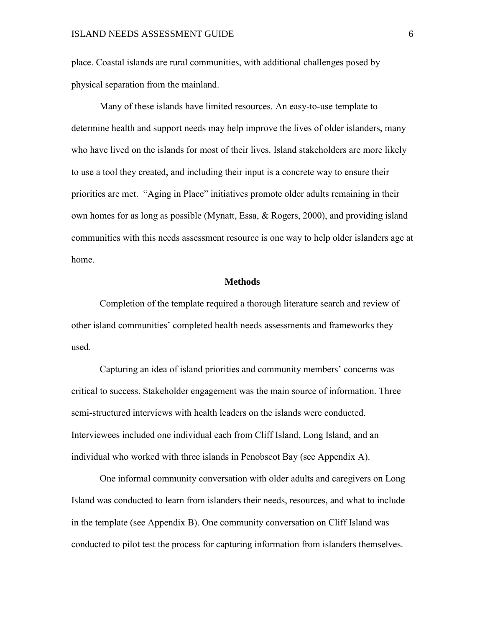place. Coastal islands are rural communities, with additional challenges posed by physical separation from the mainland.

Many of these islands have limited resources. An easy-to-use template to determine health and support needs may help improve the lives of older islanders, many who have lived on the islands for most of their lives. Island stakeholders are more likely to use a tool they created, and including their input is a concrete way to ensure their priorities are met. "Aging in Place" initiatives promote older adults remaining in their own homes for as long as possible (Mynatt, Essa,  $\&$  Rogers, 2000), and providing island communities with this needs assessment resource is one way to help older islanders age at home.

#### **Methods**

<span id="page-6-0"></span>Completion of the template required a thorough literature search and review of other island communities' completed health needs assessments and frameworks they used.

Capturing an idea of island priorities and community members' concerns was critical to success. Stakeholder engagement was the main source of information. Three semi-structured interviews with health leaders on the islands were conducted. Interviewees included one individual each from Cliff Island, Long Island, and an individual who worked with three islands in Penobscot Bay (see Appendix A).

One informal community conversation with older adults and caregivers on Long Island was conducted to learn from islanders their needs, resources, and what to include in the template (see Appendix B). One community conversation on Cliff Island was conducted to pilot test the process for capturing information from islanders themselves.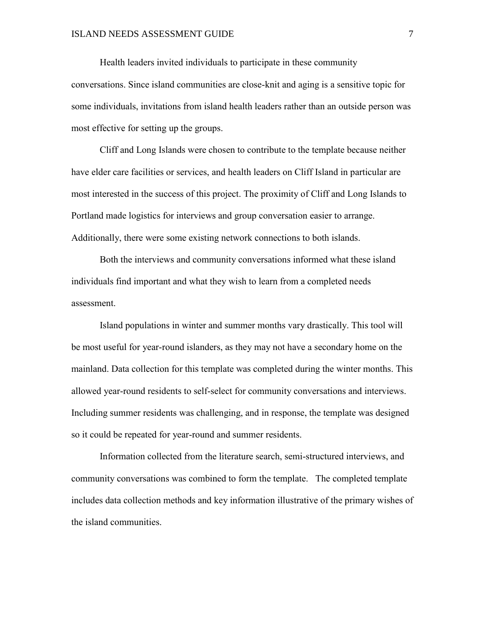Health leaders invited individuals to participate in these community conversations. Since island communities are close-knit and aging is a sensitive topic for some individuals, invitations from island health leaders rather than an outside person was most effective for setting up the groups.

Cliff and Long Islands were chosen to contribute to the template because neither have elder care facilities or services, and health leaders on Cliff Island in particular are most interested in the success of this project. The proximity of Cliff and Long Islands to Portland made logistics for interviews and group conversation easier to arrange. Additionally, there were some existing network connections to both islands.

Both the interviews and community conversations informed what these island individuals find important and what they wish to learn from a completed needs assessment.

Island populations in winter and summer months vary drastically. This tool will be most useful for year-round islanders, as they may not have a secondary home on the mainland. Data collection for this template was completed during the winter months. This allowed year-round residents to self-select for community conversations and interviews. Including summer residents was challenging, and in response, the template was designed so it could be repeated for year-round and summer residents.

Information collected from the literature search, semi-structured interviews, and community conversations was combined to form the template. The completed template includes data collection methods and key information illustrative of the primary wishes of the island communities.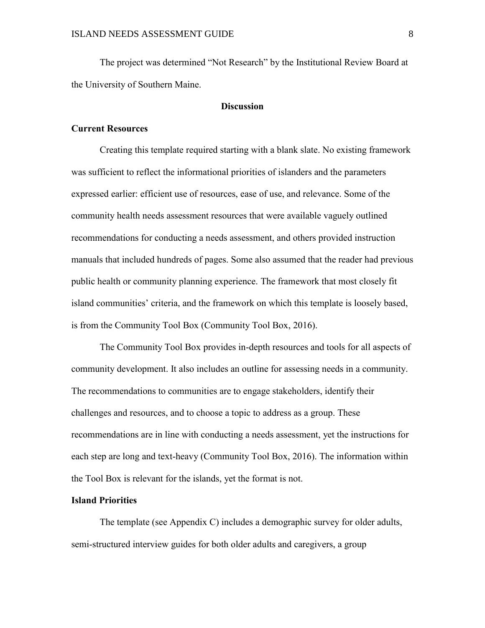The project was determined "Not Research" by the Institutional Review Board at the University of Southern Maine.

### **Discussion**

#### <span id="page-8-1"></span><span id="page-8-0"></span>**Current Resources**

Creating this template required starting with a blank slate. No existing framework was sufficient to reflect the informational priorities of islanders and the parameters expressed earlier: efficient use of resources, ease of use, and relevance. Some of the community health needs assessment resources that were available vaguely outlined recommendations for conducting a needs assessment, and others provided instruction manuals that included hundreds of pages. Some also assumed that the reader had previous public health or community planning experience. The framework that most closely fit island communities' criteria, and the framework on which this template is loosely based, is from the Community Tool Box (Community Tool Box, 2016).

The Community Tool Box provides in-depth resources and tools for all aspects of community development. It also includes an outline for assessing needs in a community. The recommendations to communities are to engage stakeholders, identify their challenges and resources, and to choose a topic to address as a group. These recommendations are in line with conducting a needs assessment, yet the instructions for each step are long and text-heavy (Community Tool Box, 2016). The information within the Tool Box is relevant for the islands, yet the format is not.

#### <span id="page-8-2"></span>**Island Priorities**

The template (see Appendix C) includes a demographic survey for older adults, semi-structured interview guides for both older adults and caregivers, a group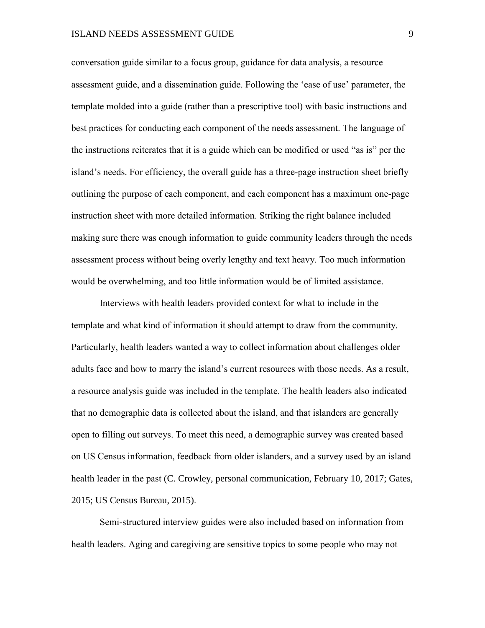conversation guide similar to a focus group, guidance for data analysis, a resource assessment guide, and a dissemination guide. Following the 'ease of use' parameter, the template molded into a guide (rather than a prescriptive tool) with basic instructions and best practices for conducting each component of the needs assessment. The language of the instructions reiterates that it is a guide which can be modified or used "as is" per the island's needs. For efficiency, the overall guide has a three-page instruction sheet briefly outlining the purpose of each component, and each component has a maximum one-page instruction sheet with more detailed information. Striking the right balance included making sure there was enough information to guide community leaders through the needs assessment process without being overly lengthy and text heavy. Too much information would be overwhelming, and too little information would be of limited assistance.

Interviews with health leaders provided context for what to include in the template and what kind of information it should attempt to draw from the community. Particularly, health leaders wanted a way to collect information about challenges older adults face and how to marry the island's current resources with those needs. As a result, a resource analysis guide was included in the template. The health leaders also indicated that no demographic data is collected about the island, and that islanders are generally open to filling out surveys. To meet this need, a demographic survey was created based on US Census information, feedback from older islanders, and a survey used by an island health leader in the past (C. Crowley, personal communication, February 10, 2017; Gates, 2015; US Census Bureau, 2015).

Semi-structured interview guides were also included based on information from health leaders. Aging and caregiving are sensitive topics to some people who may not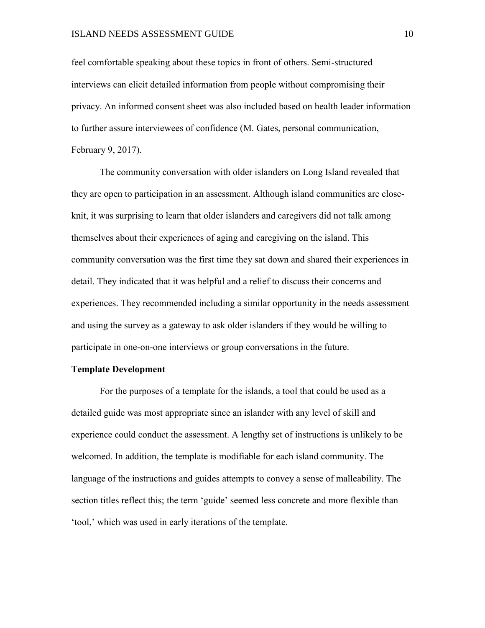#### **ISLAND NEEDS ASSESSMENT GUIDE** 10

feel comfortable speaking about these topics in front of others. Semi-structured interviews can elicit detailed information from people without compromising their privacy. An informed consent sheet was also included based on health leader information to further assure interviewees of confidence (M. Gates, personal communication, February 9, 2017).

The community conversation with older islanders on Long Island revealed that they are open to participation in an assessment. Although island communities are closeknit, it was surprising to learn that older islanders and caregivers did not talk among themselves about their experiences of aging and caregiving on the island. This community conversation was the first time they sat down and shared their experiences in detail. They indicated that it was helpful and a relief to discuss their concerns and experiences. They recommended including a similar opportunity in the needs assessment and using the survey as a gateway to ask older islanders if they would be willing to participate in one-on-one interviews or group conversations in the future.

#### <span id="page-10-0"></span>**Template Development**

For the purposes of a template for the islands, a tool that could be used as a detailed guide was most appropriate since an islander with any level of skill and experience could conduct the assessment. A lengthy set of instructions is unlikely to be welcomed. In addition, the template is modifiable for each island community. The language of the instructions and guides attempts to convey a sense of malleability. The section titles reflect this; the term 'guide' seemed less concrete and more flexible than 'tool,' which was used in early iterations of the template.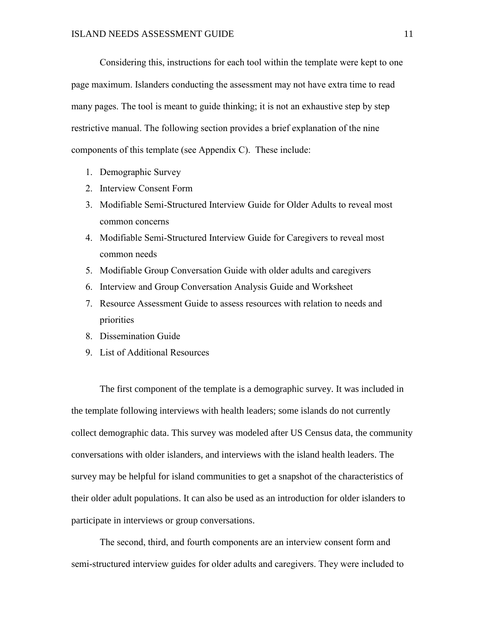Considering this, instructions for each tool within the template were kept to one page maximum. Islanders conducting the assessment may not have extra time to read many pages. The tool is meant to guide thinking; it is not an exhaustive step by step restrictive manual. The following section provides a brief explanation of the nine components of this template (see Appendix C). These include:

- 1. Demographic Survey
- 2. Interview Consent Form
- 3. Modifiable Semi-Structured Interview Guide for Older Adults to reveal most common concerns
- 4. Modifiable Semi-Structured Interview Guide for Caregivers to reveal most common needs
- 5. Modifiable Group Conversation Guide with older adults and caregivers
- 6. Interview and Group Conversation Analysis Guide and Worksheet
- 7. Resource Assessment Guide to assess resources with relation to needs and priorities
- 8. Dissemination Guide
- 9. List of Additional Resources

The first component of the template is a demographic survey. It was included in the template following interviews with health leaders; some islands do not currently collect demographic data. This survey was modeled after US Census data, the community conversations with older islanders, and interviews with the island health leaders. The survey may be helpful for island communities to get a snapshot of the characteristics of their older adult populations. It can also be used as an introduction for older islanders to participate in interviews or group conversations.

The second, third, and fourth components are an interview consent form and semi-structured interview guides for older adults and caregivers. They were included to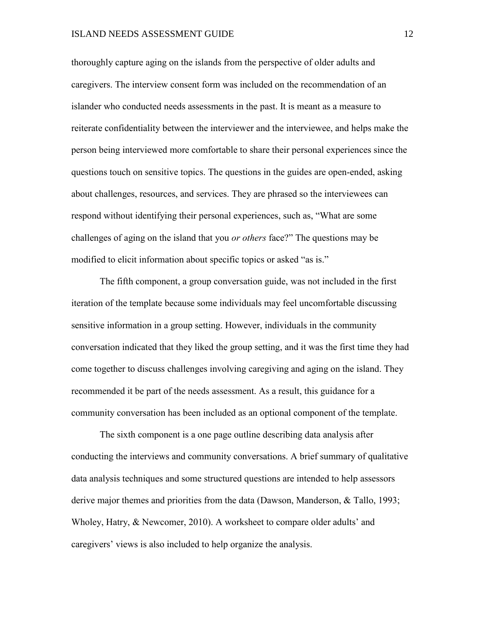thoroughly capture aging on the islands from the perspective of older adults and caregivers. The interview consent form was included on the recommendation of an islander who conducted needs assessments in the past. It is meant as a measure to reiterate confidentiality between the interviewer and the interviewee, and helps make the person being interviewed more comfortable to share their personal experiences since the questions touch on sensitive topics. The questions in the guides are open-ended, asking about challenges, resources, and services. They are phrased so the interviewees can respond without identifying their personal experiences, such as, "What are some challenges of aging on the island that you *or others* face?" The questions may be modified to elicit information about specific topics or asked "as is."

The fifth component, a group conversation guide, was not included in the first iteration of the template because some individuals may feel uncomfortable discussing sensitive information in a group setting. However, individuals in the community conversation indicated that they liked the group setting, and it was the first time they had come together to discuss challenges involving caregiving and aging on the island. They recommended it be part of the needs assessment. As a result, this guidance for a community conversation has been included as an optional component of the template.

The sixth component is a one page outline describing data analysis after conducting the interviews and community conversations. A brief summary of qualitative data analysis techniques and some structured questions are intended to help assessors derive major themes and priorities from the data (Dawson, Manderson, & Tallo, 1993; Wholey, Hatry, & Newcomer, 2010). A worksheet to compare older adults' and caregivers' views is also included to help organize the analysis.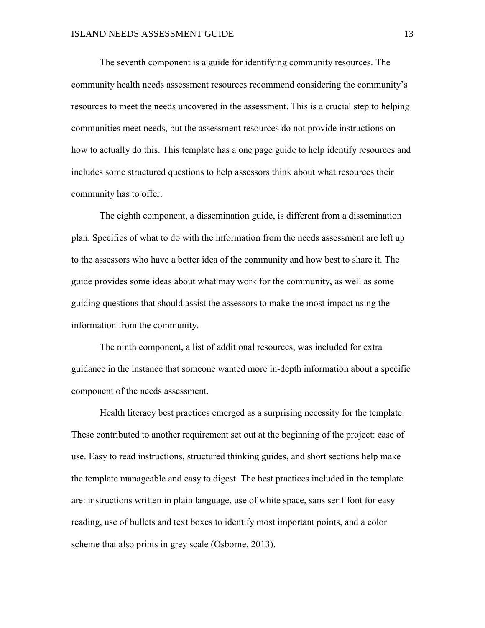The seventh component is a guide for identifying community resources. The community health needs assessment resources recommend considering the community's resources to meet the needs uncovered in the assessment. This is a crucial step to helping communities meet needs, but the assessment resources do not provide instructions on how to actually do this. This template has a one page guide to help identify resources and includes some structured questions to help assessors think about what resources their community has to offer.

The eighth component, a dissemination guide, is different from a dissemination plan. Specifics of what to do with the information from the needs assessment are left up to the assessors who have a better idea of the community and how best to share it. The guide provides some ideas about what may work for the community, as well as some guiding questions that should assist the assessors to make the most impact using the information from the community.

The ninth component, a list of additional resources, was included for extra guidance in the instance that someone wanted more in-depth information about a specific component of the needs assessment.

Health literacy best practices emerged as a surprising necessity for the template. These contributed to another requirement set out at the beginning of the project: ease of use. Easy to read instructions, structured thinking guides, and short sections help make the template manageable and easy to digest. The best practices included in the template are: instructions written in plain language, use of white space, sans serif font for easy reading, use of bullets and text boxes to identify most important points, and a color scheme that also prints in grey scale (Osborne, 2013).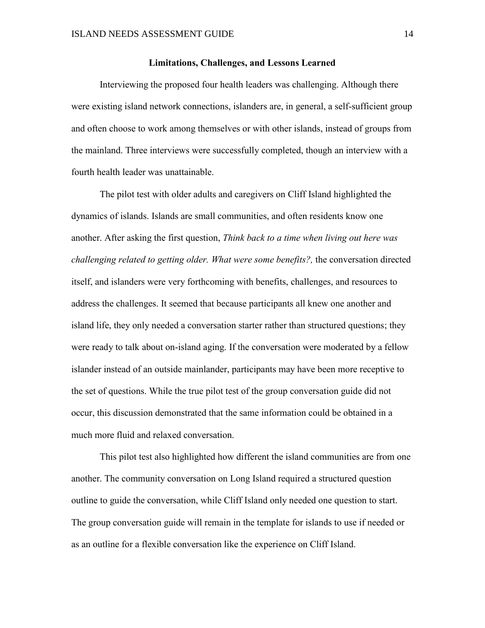#### **Limitations, Challenges, and Lessons Learned**

<span id="page-14-0"></span>Interviewing the proposed four health leaders was challenging. Although there were existing island network connections, islanders are, in general, a self-sufficient group and often choose to work among themselves or with other islands, instead of groups from the mainland. Three interviews were successfully completed, though an interview with a fourth health leader was unattainable.

The pilot test with older adults and caregivers on Cliff Island highlighted the dynamics of islands. Islands are small communities, and often residents know one another. After asking the first question, *Think back to a time when living out here was challenging related to getting older. What were some benefits?,* the conversation directed itself, and islanders were very forthcoming with benefits, challenges, and resources to address the challenges. It seemed that because participants all knew one another and island life, they only needed a conversation starter rather than structured questions; they were ready to talk about on-island aging. If the conversation were moderated by a fellow islander instead of an outside mainlander, participants may have been more receptive to the set of questions. While the true pilot test of the group conversation guide did not occur, this discussion demonstrated that the same information could be obtained in a much more fluid and relaxed conversation.

This pilot test also highlighted how different the island communities are from one another. The community conversation on Long Island required a structured question outline to guide the conversation, while Cliff Island only needed one question to start. The group conversation guide will remain in the template for islands to use if needed or as an outline for a flexible conversation like the experience on Cliff Island.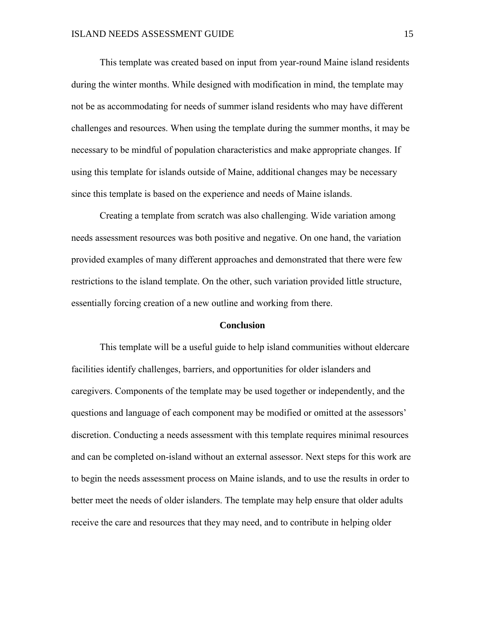This template was created based on input from year-round Maine island residents during the winter months. While designed with modification in mind, the template may not be as accommodating for needs of summer island residents who may have different challenges and resources. When using the template during the summer months, it may be necessary to be mindful of population characteristics and make appropriate changes. If using this template for islands outside of Maine, additional changes may be necessary since this template is based on the experience and needs of Maine islands.

Creating a template from scratch was also challenging. Wide variation among needs assessment resources was both positive and negative. On one hand, the variation provided examples of many different approaches and demonstrated that there were few restrictions to the island template. On the other, such variation provided little structure, essentially forcing creation of a new outline and working from there.

#### **Conclusion**

<span id="page-15-0"></span>This template will be a useful guide to help island communities without eldercare facilities identify challenges, barriers, and opportunities for older islanders and caregivers. Components of the template may be used together or independently, and the questions and language of each component may be modified or omitted at the assessors' discretion. Conducting a needs assessment with this template requires minimal resources and can be completed on-island without an external assessor. Next steps for this work are to begin the needs assessment process on Maine islands, and to use the results in order to better meet the needs of older islanders. The template may help ensure that older adults receive the care and resources that they may need, and to contribute in helping older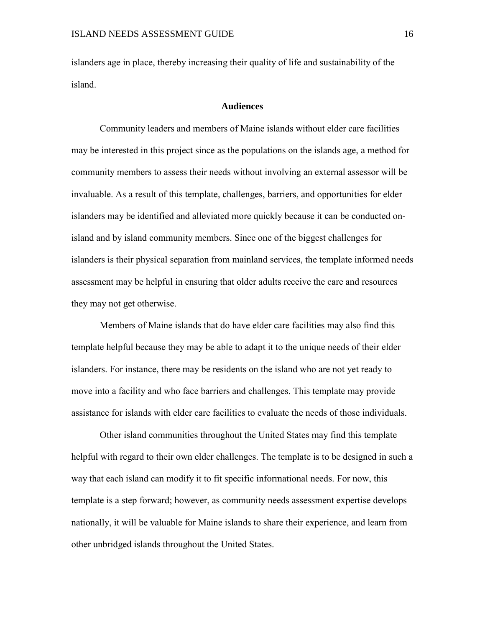islanders age in place, thereby increasing their quality of life and sustainability of the island.

#### **Audiences**

<span id="page-16-0"></span>Community leaders and members of Maine islands without elder care facilities may be interested in this project since as the populations on the islands age, a method for community members to assess their needs without involving an external assessor will be invaluable. As a result of this template, challenges, barriers, and opportunities for elder islanders may be identified and alleviated more quickly because it can be conducted onisland and by island community members. Since one of the biggest challenges for islanders is their physical separation from mainland services, the template informed needs assessment may be helpful in ensuring that older adults receive the care and resources they may not get otherwise.

Members of Maine islands that do have elder care facilities may also find this template helpful because they may be able to adapt it to the unique needs of their elder islanders. For instance, there may be residents on the island who are not yet ready to move into a facility and who face barriers and challenges. This template may provide assistance for islands with elder care facilities to evaluate the needs of those individuals.

Other island communities throughout the United States may find this template helpful with regard to their own elder challenges. The template is to be designed in such a way that each island can modify it to fit specific informational needs. For now, this template is a step forward; however, as community needs assessment expertise develops nationally, it will be valuable for Maine islands to share their experience, and learn from other unbridged islands throughout the United States.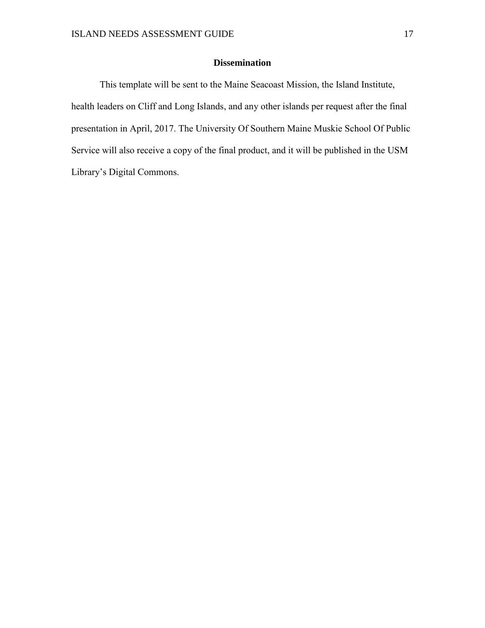## **Dissemination**

<span id="page-17-0"></span>This template will be sent to the Maine Seacoast Mission, the Island Institute, health leaders on Cliff and Long Islands, and any other islands per request after the final presentation in April, 2017. The University Of Southern Maine Muskie School Of Public Service will also receive a copy of the final product, and it will be published in the USM Library's Digital Commons.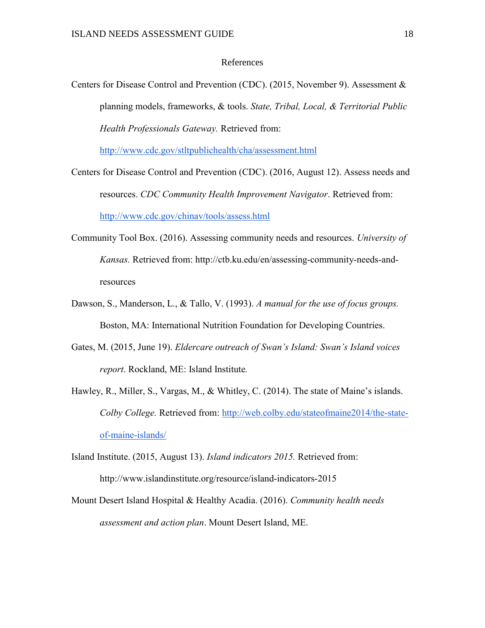#### References

<span id="page-18-0"></span>Centers for Disease Control and Prevention (CDC). (2015, November 9). Assessment & planning models, frameworks, & tools. *State, Tribal, Local, & Territorial Public Health Professionals Gateway.* Retrieved from:

<http://www.cdc.gov/stltpublichealth/cha/assessment.html>

- Centers for Disease Control and Prevention (CDC). (2016, August 12). Assess needs and resources. *CDC Community Health Improvement Navigator*. Retrieved from: <http://www.cdc.gov/chinav/tools/assess.html>
- Community Tool Box. (2016). Assessing community needs and resources. *University of Kansas.* Retrieved from: http://ctb.ku.edu/en/assessing-community-needs-andresources
- Dawson, S., Manderson, L., & Tallo, V. (1993). *A manual for the use of focus groups.*  Boston, MA: International Nutrition Foundation for Developing Countries.
- Gates, M. (2015, June 19). *Eldercare outreach of Swan's Island: Swan's Island voices report*. Rockland, ME: Island Institute*.*
- Hawley, R., Miller, S., Vargas, M., & Whitley, C. (2014). The state of Maine's islands. *Colby College.* Retrieved from: [http://web.colby.edu/stateofmaine2014/the-state](http://web.colby.edu/stateofmaine2014/the-state-of-maine-islands/)[of-maine-islands/](http://web.colby.edu/stateofmaine2014/the-state-of-maine-islands/)
- Island Institute. (2015, August 13). *Island indicators 2015.* Retrieved from: http://www.islandinstitute.org/resource/island-indicators-2015
- Mount Desert Island Hospital & Healthy Acadia. (2016). *Community health needs assessment and action plan*. Mount Desert Island, ME.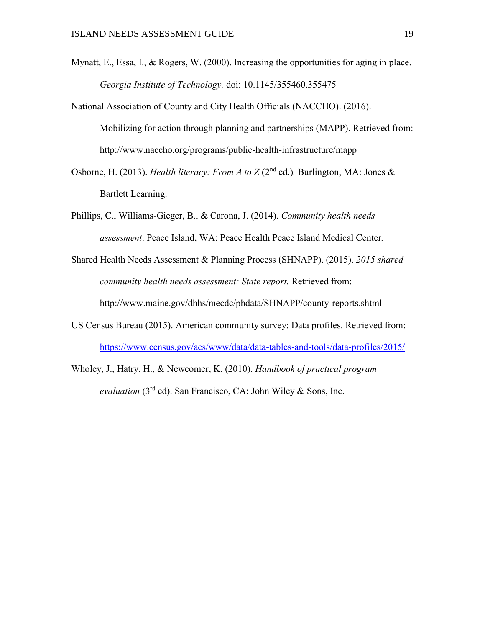- Mynatt, E., Essa, I., & Rogers, W. (2000). Increasing the opportunities for aging in place. *Georgia Institute of Technology.* doi: 10.1145/355460.355475
- National Association of County and City Health Officials (NACCHO). (2016). Mobilizing for action through planning and partnerships (MAPP). Retrieved from: http://www.naccho.org/programs/public-health-infrastructure/mapp
- Osborne, H. (2013). *Health literacy: From A to Z* (2<sup>nd</sup> ed.). Burlington, MA: Jones & Bartlett Learning.
- Phillips, C., Williams-Gieger, B., & Carona, J. (2014). *Community health needs assessment*. Peace Island, WA: Peace Health Peace Island Medical Center*.*
- Shared Health Needs Assessment & Planning Process (SHNAPP). (2015). *2015 shared community health needs assessment: State report.* Retrieved from: http://www.maine.gov/dhhs/mecdc/phdata/SHNAPP/county-reports.shtml
- US Census Bureau (2015). American community survey: Data profiles. Retrieved from: <https://www.census.gov/acs/www/data/data-tables-and-tools/data-profiles/2015/>
- Wholey, J., Hatry, H., & Newcomer, K. (2010). *Handbook of practical program evaluation* (3<sup>rd</sup> ed). San Francisco, CA: John Wiley & Sons, Inc.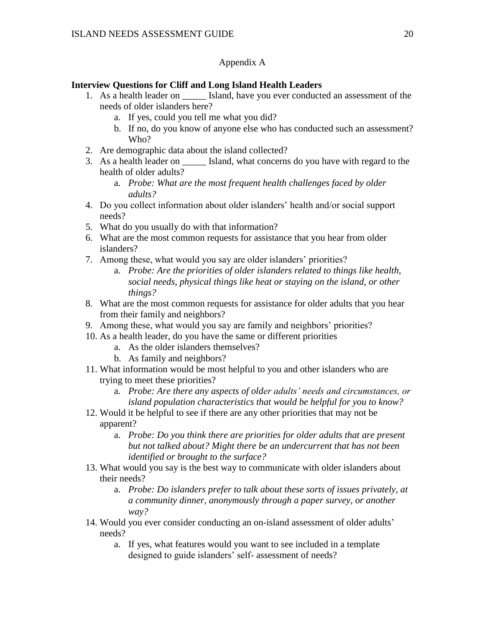### Appendix A

### <span id="page-20-1"></span><span id="page-20-0"></span>**Interview Questions for Cliff and Long Island Health Leaders**

- 1. As a health leader on \_\_\_\_\_ Island, have you ever conducted an assessment of the needs of older islanders here?
	- a. If yes, could you tell me what you did?
	- b. If no, do you know of anyone else who has conducted such an assessment? Who?
- 2. Are demographic data about the island collected?
- 3. As a health leader on \_\_\_\_\_ Island, what concerns do you have with regard to the health of older adults?
	- a. *Probe: What are the most frequent health challenges faced by older adults?*
- 4. Do you collect information about older islanders' health and/or social support needs?
- 5. What do you usually do with that information?
- 6. What are the most common requests for assistance that you hear from older islanders?
- 7. Among these, what would you say are older islanders' priorities?
	- a. *Probe: Are the priorities of older islanders related to things like health, social needs, physical things like heat or staying on the island, or other things?*
- 8. What are the most common requests for assistance for older adults that you hear from their family and neighbors?
- 9. Among these, what would you say are family and neighbors' priorities?
- 10. As a health leader, do you have the same or different priorities
	- a. As the older islanders themselves?
	- b. As family and neighbors?
- 11. What information would be most helpful to you and other islanders who are trying to meet these priorities?
	- a. *Probe: Are there any aspects of older adults' needs and circumstances, or island population characteristics that would be helpful for you to know?*
- 12. Would it be helpful to see if there are any other priorities that may not be apparent?
	- a. *Probe: Do you think there are priorities for older adults that are present but not talked about? Might there be an undercurrent that has not been identified or brought to the surface?*
- 13. What would you say is the best way to communicate with older islanders about their needs?
	- a. *Probe: Do islanders prefer to talk about these sorts of issues privately, at a community dinner, anonymously through a paper survey, or another way?*
- 14. Would you ever consider conducting an on-island assessment of older adults' needs?
	- a. If yes, what features would you want to see included in a template designed to guide islanders' self- assessment of needs?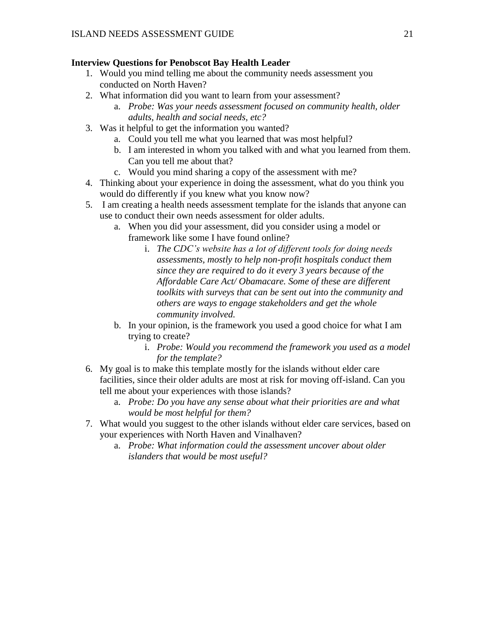### <span id="page-21-0"></span>**Interview Questions for Penobscot Bay Health Leader**

- 1. Would you mind telling me about the community needs assessment you conducted on North Haven?
- 2. What information did you want to learn from your assessment?
	- a. *Probe: Was your needs assessment focused on community health, older adults, health and social needs, etc?*
- 3. Was it helpful to get the information you wanted?
	- a. Could you tell me what you learned that was most helpful?
	- b. I am interested in whom you talked with and what you learned from them. Can you tell me about that?
	- c. Would you mind sharing a copy of the assessment with me?
- 4. Thinking about your experience in doing the assessment, what do you think you would do differently if you knew what you know now?
- 5. I am creating a health needs assessment template for the islands that anyone can use to conduct their own needs assessment for older adults.
	- a. When you did your assessment, did you consider using a model or framework like some I have found online?
		- i. *The CDC's website has a lot of different tools for doing needs assessments, mostly to help non-profit hospitals conduct them since they are required to do it every 3 years because of the Affordable Care Act/ Obamacare. Some of these are different toolkits with surveys that can be sent out into the community and others are ways to engage stakeholders and get the whole community involved.*
	- b. In your opinion, is the framework you used a good choice for what I am trying to create?
		- i. *Probe: Would you recommend the framework you used as a model for the template?*
- 6. My goal is to make this template mostly for the islands without elder care facilities, since their older adults are most at risk for moving off-island. Can you tell me about your experiences with those islands?
	- a. *Probe: Do you have any sense about what their priorities are and what would be most helpful for them?*
- 7. What would you suggest to the other islands without elder care services, based on your experiences with North Haven and Vinalhaven?
	- a. *Probe: What information could the assessment uncover about older islanders that would be most useful?*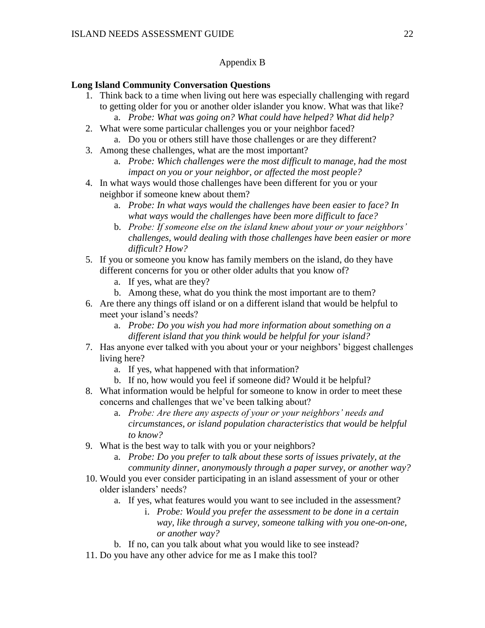### Appendix B

### <span id="page-22-1"></span><span id="page-22-0"></span>**Long Island Community Conversation Questions**

- 1. Think back to a time when living out here was especially challenging with regard to getting older for you or another older islander you know. What was that like? a. *Probe: What was going on? What could have helped? What did help?*
- 2. What were some particular challenges you or your neighbor faced? a. Do you or others still have those challenges or are they different?
- 3. Among these challenges, what are the most important?
	- a. *Probe: Which challenges were the most difficult to manage, had the most impact on you or your neighbor, or affected the most people?*
- 4. In what ways would those challenges have been different for you or your neighbor if someone knew about them?
	- a. *Probe: In what ways would the challenges have been easier to face? In what ways would the challenges have been more difficult to face?*
	- b. *Probe: If someone else on the island knew about your or your neighbors' challenges, would dealing with those challenges have been easier or more difficult? How?*
- 5. If you or someone you know has family members on the island, do they have different concerns for you or other older adults that you know of?
	- a. If yes, what are they?
	- b. Among these, what do you think the most important are to them?
- 6. Are there any things off island or on a different island that would be helpful to meet your island's needs?
	- a. *Probe: Do you wish you had more information about something on a different island that you think would be helpful for your island?*
- 7. Has anyone ever talked with you about your or your neighbors' biggest challenges living here?
	- a. If yes, what happened with that information?
	- b. If no, how would you feel if someone did? Would it be helpful?
- 8. What information would be helpful for someone to know in order to meet these concerns and challenges that we've been talking about?
	- a. *Probe: Are there any aspects of your or your neighbors' needs and circumstances, or island population characteristics that would be helpful to know?*
- 9. What is the best way to talk with you or your neighbors?
	- a. *Probe: Do you prefer to talk about these sorts of issues privately, at the community dinner, anonymously through a paper survey, or another way?*
- 10. Would you ever consider participating in an island assessment of your or other older islanders' needs?
	- a. If yes, what features would you want to see included in the assessment?
		- i. *Probe: Would you prefer the assessment to be done in a certain way, like through a survey, someone talking with you one-on-one, or another way?*
	- b. If no, can you talk about what you would like to see instead?
- 11. Do you have any other advice for me as I make this tool?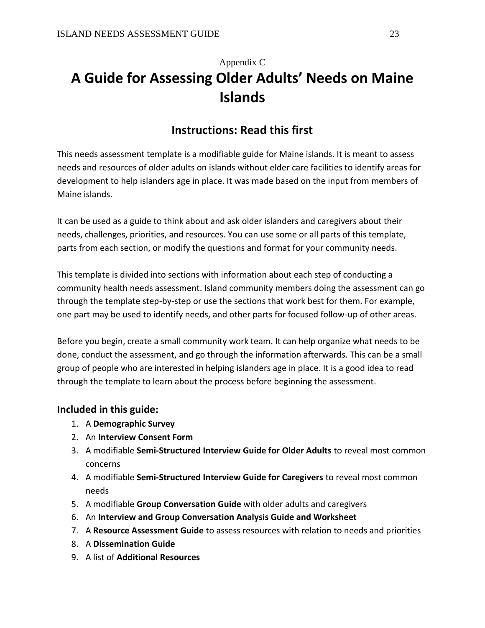# <span id="page-23-0"></span>Appendix C **A Guide for Assessing Older Adults' Needs on Maine Islands**

## **Instructions: Read this first**

This needs assessment template is a modifiable guide for Maine islands. It is meant to assess needs and resources of older adults on islands without elder care facilities to identify areas for development to help islanders age in place. It was made based on the input from members of Maine islands.

It can be used as a guide to think about and ask older islanders and caregivers about their needs, challenges, priorities, and resources. You can use some or all parts of this template, parts from each section, or modify the questions and format for your community needs.

This template is divided into sections with information about each step of conducting a community health needs assessment. Island community members doing the assessment can go through the template step-by-step or use the sections that work best for them. For example, one part may be used to identify needs, and other parts for focused follow-up of other areas.

Before you begin, create a small community work team. It can help organize what needs to be done, conduct the assessment, and go through the information afterwards. This can be a small group of people who are interested in helping islanders age in place. It is a good idea to read through the template to learn about the process before beginning the assessment.

## **Included in this guide:**

- 1. A **Demographic Survey**
- 2. An **Interview Consent Form**
- 3. A modifiable **Semi-Structured Interview Guide for Older Adults** to reveal most common concerns
- 4. A modifiable **Semi-Structured Interview Guide for Caregivers** to reveal most common needs
- 5. A modifiable **Group Conversation Guide** with older adults and caregivers
- 6. An **Interview and Group Conversation Analysis Guide and Worksheet**
- 7. A **Resource Assessment Guide** to assess resources with relation to needs and priorities
- 8. A **Dissemination Guide**
- 9. A list of **Additional Resources**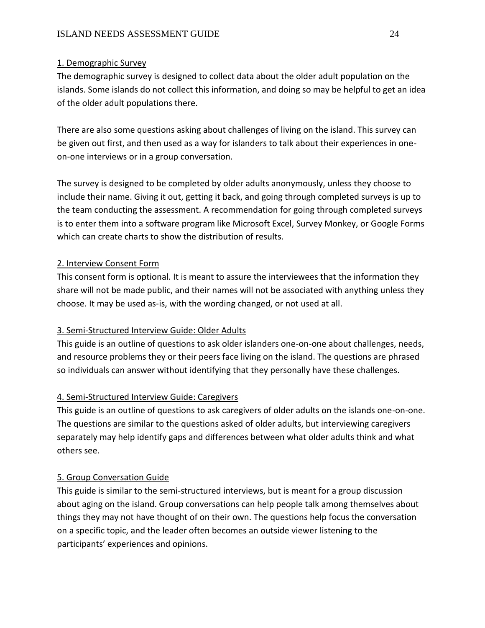## 1. Demographic Survey

The demographic survey is designed to collect data about the older adult population on the islands. Some islands do not collect this information, and doing so may be helpful to get an idea of the older adult populations there.

There are also some questions asking about challenges of living on the island. This survey can be given out first, and then used as a way for islanders to talk about their experiences in oneon-one interviews or in a group conversation.

The survey is designed to be completed by older adults anonymously, unless they choose to include their name. Giving it out, getting it back, and going through completed surveys is up to the team conducting the assessment. A recommendation for going through completed surveys is to enter them into a software program like Microsoft Excel, Survey Monkey, or Google Forms which can create charts to show the distribution of results.

## 2. Interview Consent Form

This consent form is optional. It is meant to assure the interviewees that the information they share will not be made public, and their names will not be associated with anything unless they choose. It may be used as-is, with the wording changed, or not used at all.

## 3. Semi-Structured Interview Guide: Older Adults

This guide is an outline of questions to ask older islanders one-on-one about challenges, needs, and resource problems they or their peers face living on the island. The questions are phrased so individuals can answer without identifying that they personally have these challenges.

## 4. Semi-Structured Interview Guide: Caregivers

This guide is an outline of questions to ask caregivers of older adults on the islands one-on-one. The questions are similar to the questions asked of older adults, but interviewing caregivers separately may help identify gaps and differences between what older adults think and what others see.

### 5. Group Conversation Guide

This guide is similar to the semi-structured interviews, but is meant for a group discussion about aging on the island. Group conversations can help people talk among themselves about things they may not have thought of on their own. The questions help focus the conversation on a specific topic, and the leader often becomes an outside viewer listening to the participants' experiences and opinions.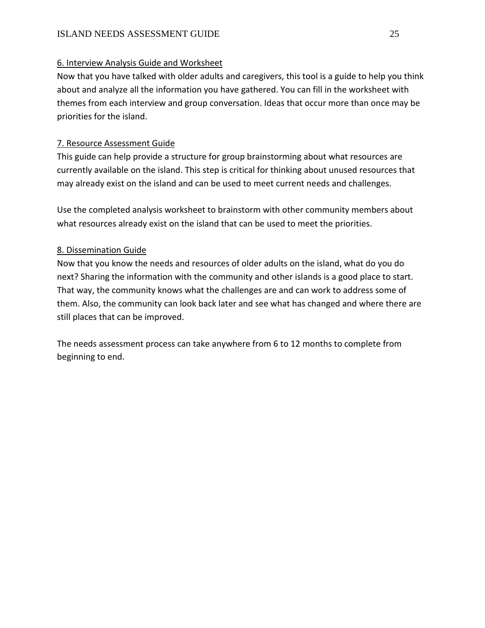## 6. Interview Analysis Guide and Worksheet

Now that you have talked with older adults and caregivers, this tool is a guide to help you think about and analyze all the information you have gathered. You can fill in the worksheet with themes from each interview and group conversation. Ideas that occur more than once may be priorities for the island.

## 7. Resource Assessment Guide

This guide can help provide a structure for group brainstorming about what resources are currently available on the island. This step is critical for thinking about unused resources that may already exist on the island and can be used to meet current needs and challenges.

Use the completed analysis worksheet to brainstorm with other community members about what resources already exist on the island that can be used to meet the priorities.

## 8. Dissemination Guide

Now that you know the needs and resources of older adults on the island, what do you do next? Sharing the information with the community and other islands is a good place to start. That way, the community knows what the challenges are and can work to address some of them. Also, the community can look back later and see what has changed and where there are still places that can be improved.

The needs assessment process can take anywhere from 6 to 12 months to complete from beginning to end.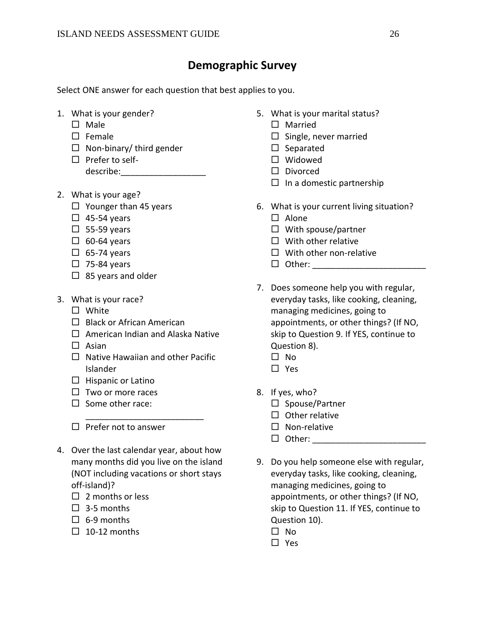## **Demographic Survey**

Select ONE answer for each question that best applies to you.

- 1. What is your gender?
	- $\square$  Male
	- $\square$  Female
	- $\Box$  Non-binary/ third gender
	- $\square$  Prefer to selfdescribe:\_\_\_\_\_\_\_\_\_\_\_\_\_\_\_\_\_\_
- 2. What is your age?
	- $\Box$  Younger than 45 years
	- $\Box$  45-54 years
	- $\square$  55-59 years
	- $\Box$  60-64 years
	- $\Box$  65-74 years
	- $\Box$  75-84 years
	- $\Box$  85 years and older
- 3. What is your race?
	- □ White
	- $\Box$  Black or African American
	- $\Box$  American Indian and Alaska Native
	- $\Box$  Asian
	- $\Box$  Native Hawaiian and other Pacific Islander

\_\_\_\_\_\_\_\_\_\_\_\_\_\_\_\_\_\_\_\_\_\_\_\_\_

- $\Box$  Hispanic or Latino
- $\square$  Two or more races
- $\Box$  Some other race:
- $\square$  Prefer not to answer
- 4. Over the last calendar year, about how many months did you live on the island (NOT including vacations or short stays off-island)?
	- $\Box$  2 months or less
	- $\Box$  3-5 months
	- $\Box$  6-9 months
	- $\Box$  10-12 months
- 5. What is your marital status?
	- □ Married
	- $\square$  Single, never married
	- $\square$  Separated
	- □ Widowed
	- D Divorced
	- $\Box$  In a domestic partnership
- 6. What is your current living situation?
	- $\square$  Alone
	- $\Box$  With spouse/partner
	- $\Box$  With other relative
	- $\Box$  With other non-relative
	- $\Box$  Other:
- 7. Does someone help you with regular, everyday tasks, like cooking, cleaning, managing medicines, going to appointments, or other things? (If NO, skip to Question 9. If YES, continue to Question 8).
	- $\square$  No
	- □ Yes
- 8. If yes, who?
	- $\square$  Spouse/Partner
	- $\Box$  Other relative
	- $\square$  Non-relative
	- $\Box$  Other:
- 9. Do you help someone else with regular, everyday tasks, like cooking, cleaning, managing medicines, going to appointments, or other things? (If NO, skip to Question 11. If YES, continue to Question 10).
	- $\square$  No
	- □ Yes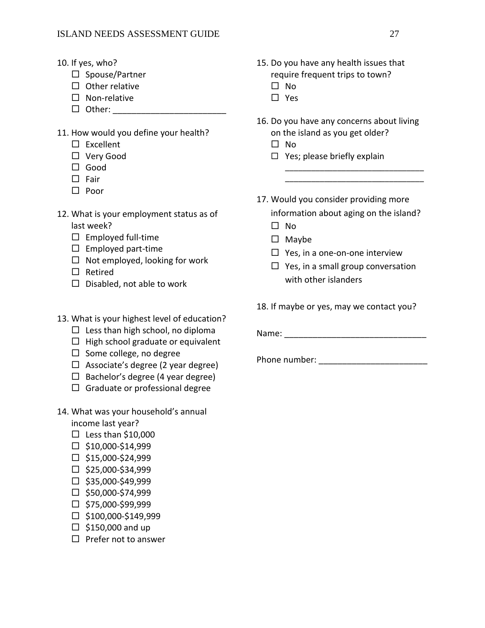- 10. If yes, who?
	- $\square$  Spouse/Partner
	- $\Box$  Other relative
	- $\square$  Non-relative
	- $\Box$  Other:
- 11. How would you define your health?
	- $\square$  Excellent
	- Very Good
	- □ Good
	- $\square$  Fair
	- $\square$  Poor
- 12. What is your employment status as of last week?
	- $\square$  Employed full-time
	- $\square$  Employed part-time
	- $\Box$  Not employed, looking for work
	- □ Retired
	- $\square$  Disabled, not able to work
- 13. What is your highest level of education?
	- $\Box$  Less than high school, no diploma
	- $\Box$  High school graduate or equivalent
	- $\Box$  Some college, no degree
	- $\Box$  Associate's degree (2 year degree)
	- $\Box$  Bachelor's degree (4 year degree)
	- $\Box$  Graduate or professional degree
- 14. What was your household's annual

income last year?

- $\square$  Less than \$10,000
- $\square$  \$10,000-\$14,999
- $\square$ \$15,000-\$24,999
- $\square$  \$25,000-\$34,999
- $\square$  \$35,000-\$49,999
- $\Box$  \$50,000-\$74,999
- $\Box$  \$75,000-\$99,999
- $\square$  \$100,000-\$149,999
- $\Box$  \$150,000 and up
- $\Box$  Prefer not to answer
- 15. Do you have any health issues that require frequent trips to town?
	- $\square$  No
	- □ Yes
- 16. Do you have any concerns about living on the island as you get older?
	- $\square$  No
	- $\Box$  Yes; please briefly explain
- 17. Would you consider providing more information about aging on the island?

\_\_\_\_\_\_\_\_\_\_\_\_\_\_\_\_\_\_\_\_\_\_\_\_\_\_\_\_\_\_\_\_ \_\_\_\_\_\_\_\_\_\_\_\_\_\_\_\_\_\_\_\_\_\_\_\_\_\_\_\_\_\_\_\_

- $\square$  No
- $\square$  Maybe
- $\Box$  Yes, in a one-on-one interview
- $\Box$  Yes, in a small group conversation with other islanders
- 18. If maybe or yes, may we contact you?

Name: \_\_\_\_\_\_\_\_\_\_\_\_\_\_\_\_\_\_\_\_\_\_\_\_\_\_\_\_\_\_

Phone number: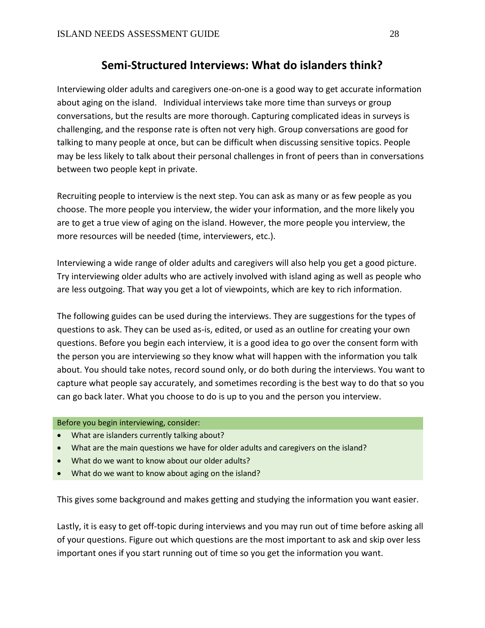## **Semi-Structured Interviews: What do islanders think?**

Interviewing older adults and caregivers one-on-one is a good way to get accurate information about aging on the island. Individual interviews take more time than surveys or group conversations, but the results are more thorough. Capturing complicated ideas in surveys is challenging, and the response rate is often not very high. Group conversations are good for talking to many people at once, but can be difficult when discussing sensitive topics. People may be less likely to talk about their personal challenges in front of peers than in conversations between two people kept in private.

Recruiting people to interview is the next step. You can ask as many or as few people as you choose. The more people you interview, the wider your information, and the more likely you are to get a true view of aging on the island. However, the more people you interview, the more resources will be needed (time, interviewers, etc.).

Interviewing a wide range of older adults and caregivers will also help you get a good picture. Try interviewing older adults who are actively involved with island aging as well as people who are less outgoing. That way you get a lot of viewpoints, which are key to rich information.

The following guides can be used during the interviews. They are suggestions for the types of questions to ask. They can be used as-is, edited, or used as an outline for creating your own questions. Before you begin each interview, it is a good idea to go over the consent form with the person you are interviewing so they know what will happen with the information you talk about. You should take notes, record sound only, or do both during the interviews. You want to capture what people say accurately, and sometimes recording is the best way to do that so you can go back later. What you choose to do is up to you and the person you interview.

#### Before you begin interviewing, consider:

- What are islanders currently talking about?
- What are the main questions we have for older adults and caregivers on the island?
- What do we want to know about our older adults?
- What do we want to know about aging on the island?

This gives some background and makes getting and studying the information you want easier.

Lastly, it is easy to get off-topic during interviews and you may run out of time before asking all of your questions. Figure out which questions are the most important to ask and skip over less important ones if you start running out of time so you get the information you want.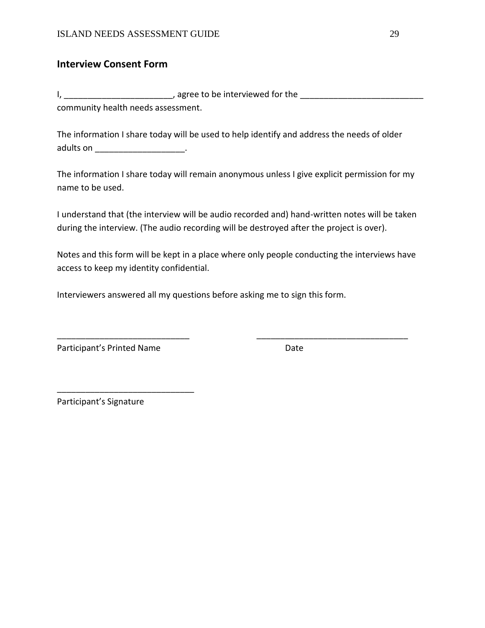## **Interview Consent Form**

I, \_\_\_\_\_\_\_\_\_\_\_\_\_\_\_\_\_\_\_\_\_\_\_, agree to be interviewed for the \_\_\_\_\_\_\_\_\_\_\_\_\_\_\_\_\_\_\_\_\_\_\_\_\_\_ community health needs assessment.

The information I share today will be used to help identify and address the needs of older adults on **andults** on

The information I share today will remain anonymous unless I give explicit permission for my name to be used.

I understand that (the interview will be audio recorded and) hand-written notes will be taken during the interview. (The audio recording will be destroyed after the project is over).

Notes and this form will be kept in a place where only people conducting the interviews have access to keep my identity confidential.

\_\_\_\_\_\_\_\_\_\_\_\_\_\_\_\_\_\_\_\_\_\_\_\_\_\_\_\_ \_\_\_\_\_\_\_\_\_\_\_\_\_\_\_\_\_\_\_\_\_\_\_\_\_\_\_\_\_\_\_\_

Interviewers answered all my questions before asking me to sign this form.

Participant's Printed Name **Date** Date

\_\_\_\_\_\_\_\_\_\_\_\_\_\_\_\_\_\_\_\_\_\_\_\_\_\_\_\_\_

Participant's Signature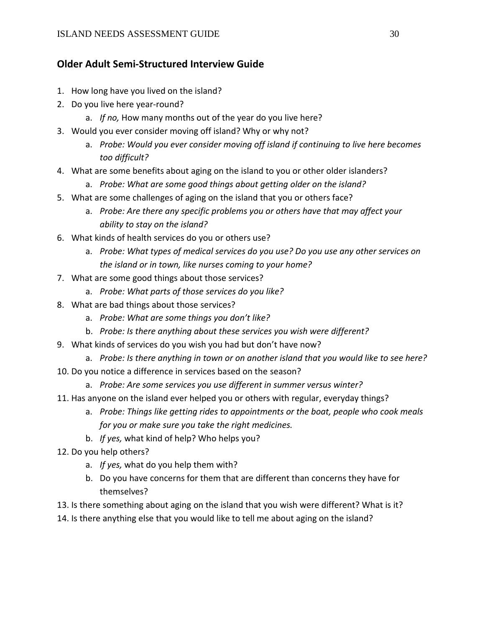## **Older Adult Semi-Structured Interview Guide**

- 1. How long have you lived on the island?
- 2. Do you live here year-round?
	- a. *If no*, How many months out of the year do you live here?
- 3. Would you ever consider moving off island? Why or why not?
	- a. *Probe: Would you ever consider moving off island if continuing to live here becomes too difficult?*
- 4. What are some benefits about aging on the island to you or other older islanders?
	- a. *Probe: What are some good things about getting older on the island?*
- 5. What are some challenges of aging on the island that you or others face?
	- a. *Probe: Are there any specific problems you or others have that may affect your ability to stay on the island?*
- 6. What kinds of health services do you or others use?
	- a. *Probe: What types of medical services do you use? Do you use any other services on the island or in town, like nurses coming to your home?*
- 7. What are some good things about those services?
	- a. *Probe: What parts of those services do you like?*
- 8. What are bad things about those services?
	- a. *Probe: What are some things you don't like?*
	- b. *Probe: Is there anything about these services you wish were different?*
- 9. What kinds of services do you wish you had but don't have now?
	- a. *Probe: Is there anything in town or on another island that you would like to see here?*
- 10. Do you notice a difference in services based on the season?
	- a. *Probe: Are some services you use different in summer versus winter?*
- 11. Has anyone on the island ever helped you or others with regular, everyday things?
	- a. *Probe: Things like getting rides to appointments or the boat, people who cook meals for you or make sure you take the right medicines.*
	- b. *If yes,* what kind of help? Who helps you?
- 12. Do you help others?
	- a. *If yes,* what do you help them with?
	- b. Do you have concerns for them that are different than concerns they have for themselves?
- 13. Is there something about aging on the island that you wish were different? What is it?
- 14. Is there anything else that you would like to tell me about aging on the island?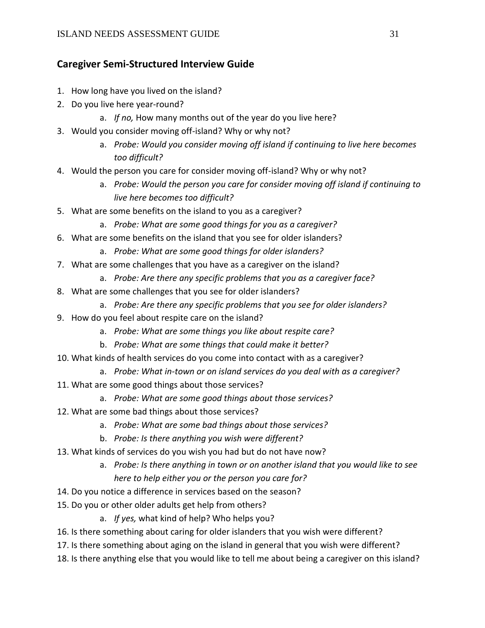## **Caregiver Semi-Structured Interview Guide**

- 1. How long have you lived on the island?
- 2. Do you live here year-round?
	- a. *If no,* How many months out of the year do you live here?
- 3. Would you consider moving off-island? Why or why not?
	- a. *Probe: Would you consider moving off island if continuing to live here becomes too difficult?*
- 4. Would the person you care for consider moving off-island? Why or why not?
	- a. *Probe: Would the person you care for consider moving off island if continuing to live here becomes too difficult?*
- 5. What are some benefits on the island to you as a caregiver?
	- a. *Probe: What are some good things for you as a caregiver?*
- 6. What are some benefits on the island that you see for older islanders?
	- a. *Probe: What are some good things for older islanders?*
- 7. What are some challenges that you have as a caregiver on the island?
	- a. *Probe: Are there any specific problems that you as a caregiver face?*
- 8. What are some challenges that you see for older islanders?
	- a. *Probe: Are there any specific problems that you see for older islanders?*
- 9. How do you feel about respite care on the island?
	- a. *Probe: What are some things you like about respite care?*
	- b. *Probe: What are some things that could make it better?*
- 10. What kinds of health services do you come into contact with as a caregiver?
	- a. *Probe: What in-town or on island services do you deal with as a caregiver?*
- 11. What are some good things about those services?
	- a. *Probe: What are some good things about those services?*
- 12. What are some bad things about those services?
	- a. *Probe: What are some bad things about those services?*
	- b. *Probe: Is there anything you wish were different?*
- 13. What kinds of services do you wish you had but do not have now?
	- a. *Probe: Is there anything in town or on another island that you would like to see here to help either you or the person you care for?*
- 14. Do you notice a difference in services based on the season?
- 15. Do you or other older adults get help from others?
	- a. *If yes,* what kind of help? Who helps you?
- 16. Is there something about caring for older islanders that you wish were different?
- 17. Is there something about aging on the island in general that you wish were different?
- 18. Is there anything else that you would like to tell me about being a caregiver on this island?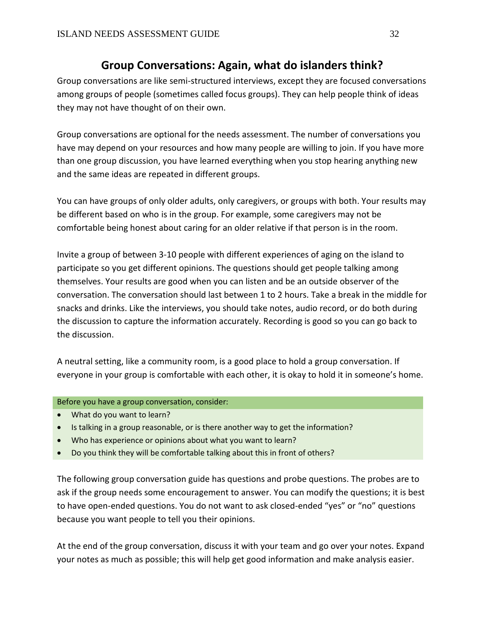## **Group Conversations: Again, what do islanders think?**

Group conversations are like semi-structured interviews, except they are focused conversations among groups of people (sometimes called focus groups). They can help people think of ideas they may not have thought of on their own.

Group conversations are optional for the needs assessment. The number of conversations you have may depend on your resources and how many people are willing to join. If you have more than one group discussion, you have learned everything when you stop hearing anything new and the same ideas are repeated in different groups.

You can have groups of only older adults, only caregivers, or groups with both. Your results may be different based on who is in the group. For example, some caregivers may not be comfortable being honest about caring for an older relative if that person is in the room.

Invite a group of between 3-10 people with different experiences of aging on the island to participate so you get different opinions. The questions should get people talking among themselves. Your results are good when you can listen and be an outside observer of the conversation. The conversation should last between 1 to 2 hours. Take a break in the middle for snacks and drinks. Like the interviews, you should take notes, audio record, or do both during the discussion to capture the information accurately. Recording is good so you can go back to the discussion.

A neutral setting, like a community room, is a good place to hold a group conversation. If everyone in your group is comfortable with each other, it is okay to hold it in someone's home.

Before you have a group conversation, consider:

- What do you want to learn?
- Is talking in a group reasonable, or is there another way to get the information?
- Who has experience or opinions about what you want to learn?
- Do you think they will be comfortable talking about this in front of others?

The following group conversation guide has questions and probe questions. The probes are to ask if the group needs some encouragement to answer. You can modify the questions; it is best to have open-ended questions. You do not want to ask closed-ended "yes" or "no" questions because you want people to tell you their opinions.

At the end of the group conversation, discuss it with your team and go over your notes. Expand your notes as much as possible; this will help get good information and make analysis easier.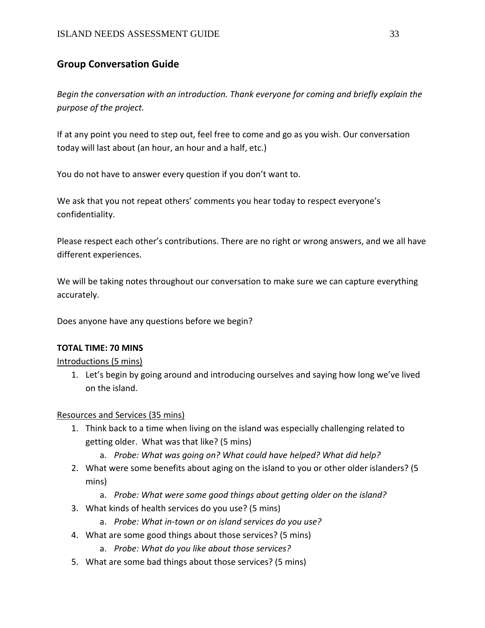## **Group Conversation Guide**

*Begin the conversation with an introduction. Thank everyone for coming and briefly explain the purpose of the project.* 

If at any point you need to step out, feel free to come and go as you wish. Our conversation today will last about (an hour, an hour and a half, etc.)

You do not have to answer every question if you don't want to.

We ask that you not repeat others' comments you hear today to respect everyone's confidentiality.

Please respect each other's contributions. There are no right or wrong answers, and we all have different experiences.

We will be taking notes throughout our conversation to make sure we can capture everything accurately.

Does anyone have any questions before we begin?

#### **TOTAL TIME: 70 MINS**

Introductions (5 mins)

1. Let's begin by going around and introducing ourselves and saying how long we've lived on the island.

### Resources and Services (35 mins)

- 1. Think back to a time when living on the island was especially challenging related to getting older. What was that like? (5 mins)
	- a. *Probe: What was going on? What could have helped? What did help?*
- 2. What were some benefits about aging on the island to you or other older islanders? (5 mins)
	- a. *Probe: What were some good things about getting older on the island?*
- 3. What kinds of health services do you use? (5 mins)
	- a. *Probe: What in-town or on island services do you use?*
- 4. What are some good things about those services? (5 mins)
	- a. *Probe: What do you like about those services?*
- 5. What are some bad things about those services? (5 mins)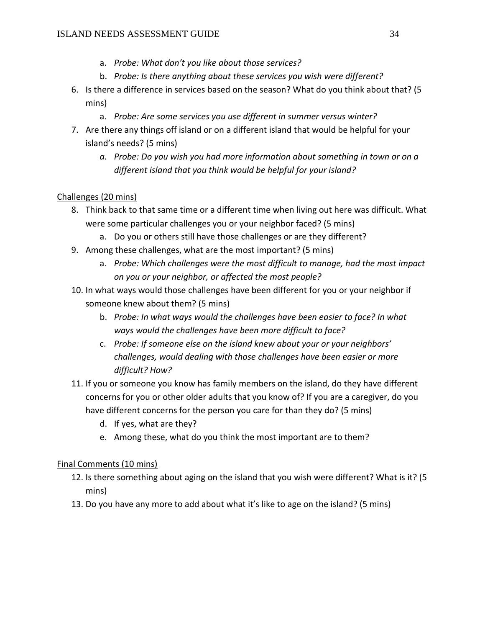- a. *Probe: What don't you like about those services?*
- b. *Probe: Is there anything about these services you wish were different?*
- 6. Is there a difference in services based on the season? What do you think about that? (5 mins)
	- a. *Probe: Are some services you use different in summer versus winter?*
- 7. Are there any things off island or on a different island that would be helpful for your island's needs? (5 mins)
	- *a. Probe: Do you wish you had more information about something in town or on a different island that you think would be helpful for your island?*

## Challenges (20 mins)

- 8. Think back to that same time or a different time when living out here was difficult. What were some particular challenges you or your neighbor faced? (5 mins)
	- a. Do you or others still have those challenges or are they different?
- 9. Among these challenges, what are the most important? (5 mins)
	- a. *Probe: Which challenges were the most difficult to manage, had the most impact on you or your neighbor, or affected the most people?*
- 10. In what ways would those challenges have been different for you or your neighbor if someone knew about them? (5 mins)
	- b. *Probe: In what ways would the challenges have been easier to face? In what ways would the challenges have been more difficult to face?*
	- c. *Probe: If someone else on the island knew about your or your neighbors' challenges, would dealing with those challenges have been easier or more difficult? How?*
- 11. If you or someone you know has family members on the island, do they have different concerns for you or other older adults that you know of? If you are a caregiver, do you have different concerns for the person you care for than they do? (5 mins)
	- d. If yes, what are they?
	- e. Among these, what do you think the most important are to them?

## Final Comments (10 mins)

- 12. Is there something about aging on the island that you wish were different? What is it? (5 mins)
- 13. Do you have any more to add about what it's like to age on the island? (5 mins)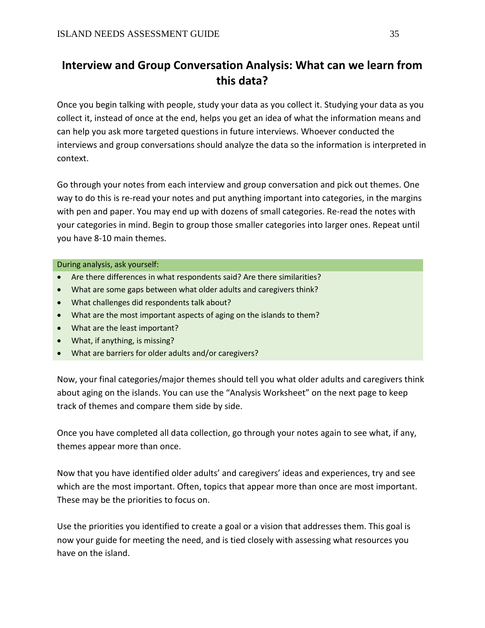# **Interview and Group Conversation Analysis: What can we learn from this data?**

Once you begin talking with people, study your data as you collect it. Studying your data as you collect it, instead of once at the end, helps you get an idea of what the information means and can help you ask more targeted questions in future interviews. Whoever conducted the interviews and group conversations should analyze the data so the information is interpreted in context.

Go through your notes from each interview and group conversation and pick out themes. One way to do this is re-read your notes and put anything important into categories, in the margins with pen and paper. You may end up with dozens of small categories. Re-read the notes with your categories in mind. Begin to group those smaller categories into larger ones. Repeat until you have 8-10 main themes.

#### During analysis, ask yourself:

- Are there differences in what respondents said? Are there similarities?
- What are some gaps between what older adults and caregivers think?
- What challenges did respondents talk about?
- What are the most important aspects of aging on the islands to them?
- What are the least important?
- What, if anything, is missing?
- What are barriers for older adults and/or caregivers?

Now, your final categories/major themes should tell you what older adults and caregivers think about aging on the islands. You can use the "Analysis Worksheet" on the next page to keep track of themes and compare them side by side.

Once you have completed all data collection, go through your notes again to see what, if any, themes appear more than once.

Now that you have identified older adults' and caregivers' ideas and experiences, try and see which are the most important. Often, topics that appear more than once are most important. These may be the priorities to focus on.

Use the priorities you identified to create a goal or a vision that addresses them. This goal is now your guide for meeting the need, and is tied closely with assessing what resources you have on the island.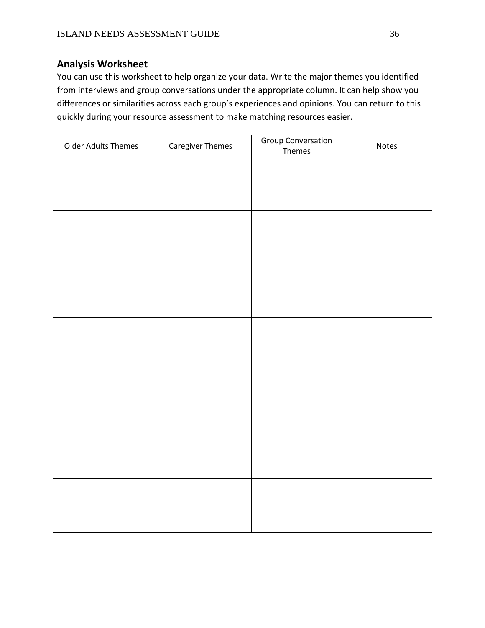## **Analysis Worksheet**

You can use this worksheet to help organize your data. Write the major themes you identified from interviews and group conversations under the appropriate column. It can help show you differences or similarities across each group's experiences and opinions. You can return to this quickly during your resource assessment to make matching resources easier.

| <b>Older Adults Themes</b> | <b>Caregiver Themes</b> | <b>Group Conversation</b><br>Themes | Notes |
|----------------------------|-------------------------|-------------------------------------|-------|
|                            |                         |                                     |       |
|                            |                         |                                     |       |
|                            |                         |                                     |       |
|                            |                         |                                     |       |
|                            |                         |                                     |       |
|                            |                         |                                     |       |
|                            |                         |                                     |       |
|                            |                         |                                     |       |
|                            |                         |                                     |       |
|                            |                         |                                     |       |
|                            |                         |                                     |       |
|                            |                         |                                     |       |
|                            |                         |                                     |       |
|                            |                         |                                     |       |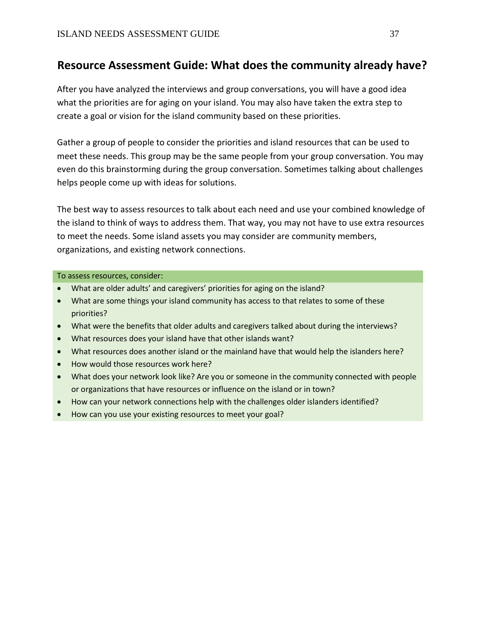## **Resource Assessment Guide: What does the community already have?**

After you have analyzed the interviews and group conversations, you will have a good idea what the priorities are for aging on your island. You may also have taken the extra step to create a goal or vision for the island community based on these priorities.

Gather a group of people to consider the priorities and island resources that can be used to meet these needs. This group may be the same people from your group conversation. You may even do this brainstorming during the group conversation. Sometimes talking about challenges helps people come up with ideas for solutions.

The best way to assess resources to talk about each need and use your combined knowledge of the island to think of ways to address them. That way, you may not have to use extra resources to meet the needs. Some island assets you may consider are community members, organizations, and existing network connections.

#### To assess resources, consider:

- What are older adults' and caregivers' priorities for aging on the island?
- What are some things your island community has access to that relates to some of these priorities?
- What were the benefits that older adults and caregivers talked about during the interviews?
- What resources does your island have that other islands want?
- What resources does another island or the mainland have that would help the islanders here?
- How would those resources work here?
- What does your network look like? Are you or someone in the community connected with people or organizations that have resources or influence on the island or in town?
- How can your network connections help with the challenges older islanders identified?
- How can you use your existing resources to meet your goal?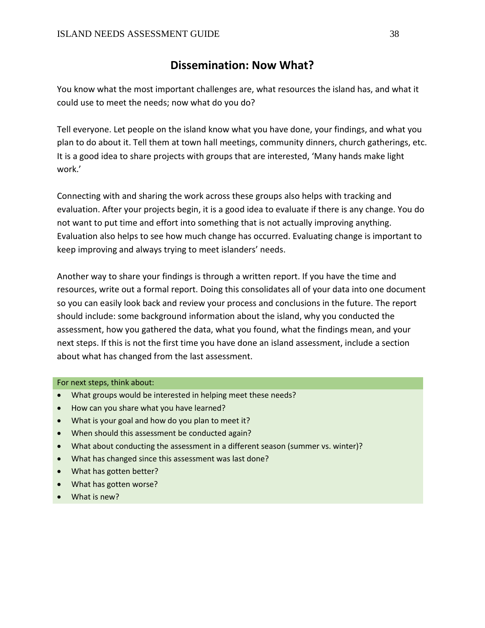## **Dissemination: Now What?**

You know what the most important challenges are, what resources the island has, and what it could use to meet the needs; now what do you do?

Tell everyone. Let people on the island know what you have done, your findings, and what you plan to do about it. Tell them at town hall meetings, community dinners, church gatherings, etc. It is a good idea to share projects with groups that are interested, 'Many hands make light work.'

Connecting with and sharing the work across these groups also helps with tracking and evaluation. After your projects begin, it is a good idea to evaluate if there is any change. You do not want to put time and effort into something that is not actually improving anything. Evaluation also helps to see how much change has occurred. Evaluating change is important to keep improving and always trying to meet islanders' needs.

Another way to share your findings is through a written report. If you have the time and resources, write out a formal report. Doing this consolidates all of your data into one document so you can easily look back and review your process and conclusions in the future. The report should include: some background information about the island, why you conducted the assessment, how you gathered the data, what you found, what the findings mean, and your next steps. If this is not the first time you have done an island assessment, include a section about what has changed from the last assessment.

#### For next steps, think about:

- What groups would be interested in helping meet these needs?
- How can you share what you have learned?
- What is your goal and how do you plan to meet it?
- When should this assessment be conducted again?
- What about conducting the assessment in a different season (summer vs. winter)?
- What has changed since this assessment was last done?
- What has gotten better?
- What has gotten worse?
- What is new?